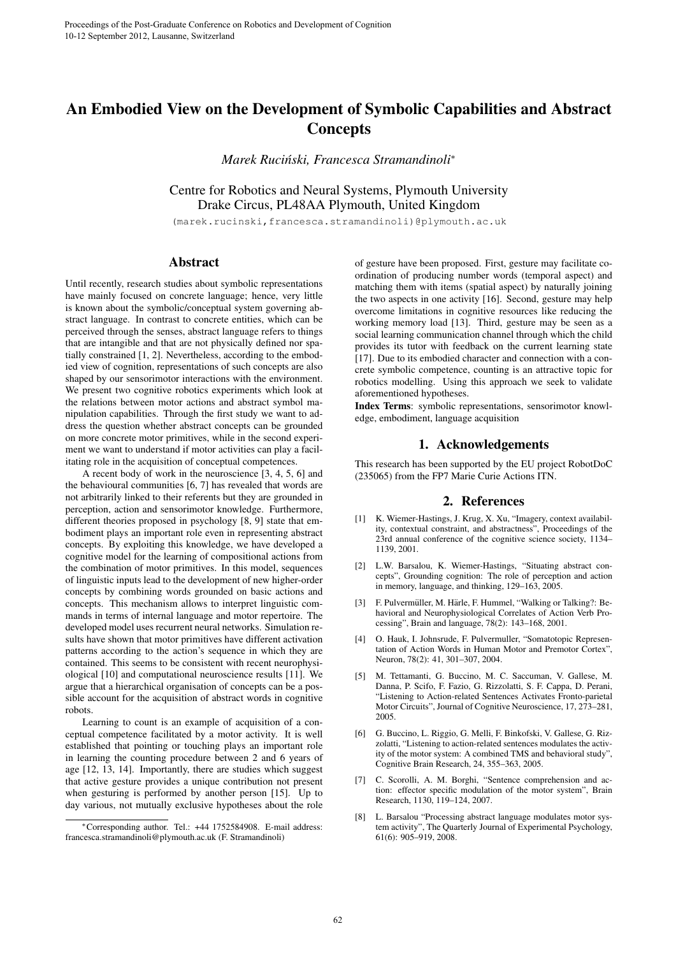## An Embodied View on the Development of Symbolic Capabilities and Abstract **Concepts**

*Marek Rucinski, Francesca Stramandinoli ´* ∗

Centre for Robotics and Neural Systems, Plymouth University Drake Circus, PL48AA Plymouth, United Kingdom

(marek.rucinski,francesca.stramandinoli)@plymouth.ac.uk

## Abstract

Until recently, research studies about symbolic representations have mainly focused on concrete language; hence, very little is known about the symbolic/conceptual system governing abstract language. In contrast to concrete entities, which can be perceived through the senses, abstract language refers to things that are intangible and that are not physically defined nor spatially constrained [1, 2]. Nevertheless, according to the embodied view of cognition, representations of such concepts are also shaped by our sensorimotor interactions with the environment. We present two cognitive robotics experiments which look at the relations between motor actions and abstract symbol manipulation capabilities. Through the first study we want to address the question whether abstract concepts can be grounded on more concrete motor primitives, while in the second experiment we want to understand if motor activities can play a facilitating role in the acquisition of conceptual competences.

A recent body of work in the neuroscience [3, 4, 5, 6] and the behavioural communities [6, 7] has revealed that words are not arbitrarily linked to their referents but they are grounded in perception, action and sensorimotor knowledge. Furthermore, different theories proposed in psychology [8, 9] state that embodiment plays an important role even in representing abstract concepts. By exploiting this knowledge, we have developed a cognitive model for the learning of compositional actions from the combination of motor primitives. In this model, sequences of linguistic inputs lead to the development of new higher-order concepts by combining words grounded on basic actions and concepts. This mechanism allows to interpret linguistic commands in terms of internal language and motor repertoire. The developed model uses recurrent neural networks. Simulation results have shown that motor primitives have different activation patterns according to the action's sequence in which they are contained. This seems to be consistent with recent neurophysiological [10] and computational neuroscience results [11]. We argue that a hierarchical organisation of concepts can be a possible account for the acquisition of abstract words in cognitive robots.

Learning to count is an example of acquisition of a conceptual competence facilitated by a motor activity. It is well established that pointing or touching plays an important role in learning the counting procedure between 2 and 6 years of age [12, 13, 14]. Importantly, there are studies which suggest that active gesture provides a unique contribution not present when gesturing is performed by another person [15]. Up to day various, not mutually exclusive hypotheses about the role

of gesture have been proposed. First, gesture may facilitate coordination of producing number words (temporal aspect) and matching them with items (spatial aspect) by naturally joining the two aspects in one activity [16]. Second, gesture may help overcome limitations in cognitive resources like reducing the working memory load [13]. Third, gesture may be seen as a social learning communication channel through which the child provides its tutor with feedback on the current learning state [17]. Due to its embodied character and connection with a concrete symbolic competence, counting is an attractive topic for robotics modelling. Using this approach we seek to validate aforementioned hypotheses.

Index Terms: symbolic representations, sensorimotor knowledge, embodiment, language acquisition

## 1. Acknowledgements

This research has been supported by the EU project RobotDoC (235065) from the FP7 Marie Curie Actions ITN.

## 2. References

- [1] K. Wiemer-Hastings, J. Krug, X. Xu, "Imagery, context availability, contextual constraint, and abstractness", Proceedings of the 23rd annual conference of the cognitive science society, 1134– 1139, 2001.
- [2] L.W. Barsalou, K. Wiemer-Hastings, "Situating abstract concepts", Grounding cognition: The role of perception and action in memory, language, and thinking, 129–163, 2005.
- [3] F. Pulvermüller, M. Härle, F. Hummel, "Walking or Talking?: Behavioral and Neurophysiological Correlates of Action Verb Processing", Brain and language, 78(2): 143–168, 2001.
- [4] O. Hauk, I. Johnsrude, F. Pulvermuller, "Somatotopic Representation of Action Words in Human Motor and Premotor Cortex", Neuron, 78(2): 41, 301–307, 2004.
- [5] M. Tettamanti, G. Buccino, M. C. Saccuman, V. Gallese, M. Danna, P. Scifo, F. Fazio, G. Rizzolatti, S. F. Cappa, D. Perani, "Listening to Action-related Sentences Activates Fronto-parietal Motor Circuits", Journal of Cognitive Neuroscience, 17, 273–281, 2005.
- [6] G. Buccino, L. Riggio, G. Melli, F. Binkofski, V. Gallese, G. Rizzolatti, "Listening to action-related sentences modulates the activity of the motor system: A combined TMS and behavioral study", Cognitive Brain Research, 24, 355–363, 2005.
- [7] C. Scorolli, A. M. Borghi, "Sentence comprehension and action: effector specific modulation of the motor system", Brain Research, 1130, 119–124, 2007.
- [8] L. Barsalou "Processing abstract language modulates motor system activity", The Quarterly Journal of Experimental Psychology, 61(6): 905–919, 2008.

<sup>∗</sup>Corresponding author. Tel.: +44 1752584908. E-mail address: francesca.stramandinoli@plymouth.ac.uk (F. Stramandinoli)